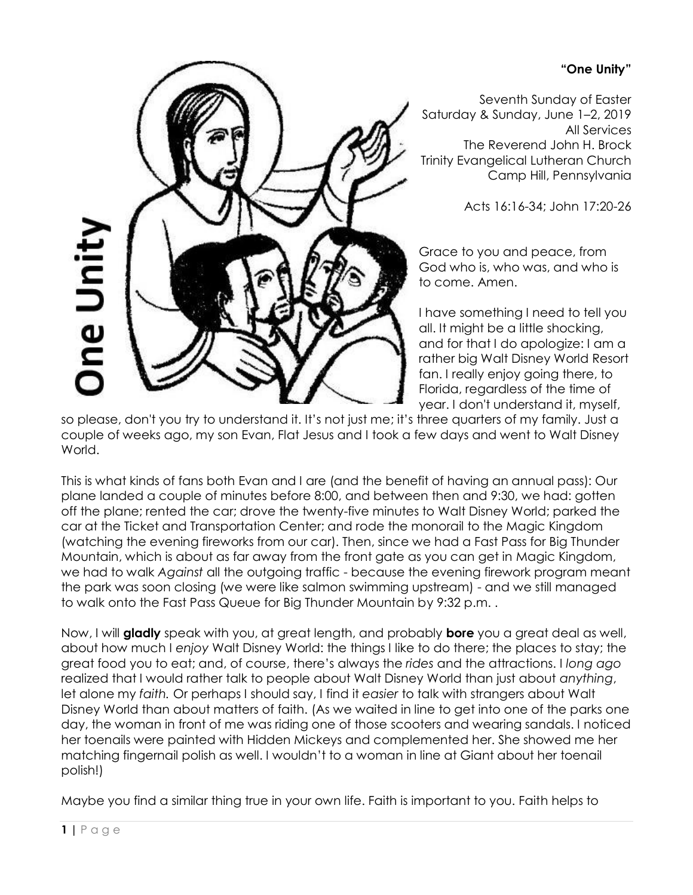## **"One Unity"**



Seventh Sunday of Easter Saturday & Sunday, June 1–2, 2019 All Services The Reverend John H. Brock Trinity Evangelical Lutheran Church Camp Hill, Pennsylvania

Acts 16:16-34; John 17:20-26

Grace to you and peace, from God who is, who was, and who is to come. Amen.

I have something I need to tell you all. It might be a little shocking, and for that I do apologize: I am a rather big Walt Disney World Resort fan. I really enjoy going there, to Florida, regardless of the time of year. I don't understand it, myself,

so please, don't you try to understand it. It's not just me; it's three quarters of my family. Just a couple of weeks ago, my son Evan, Flat Jesus and I took a few days and went to Walt Disney World.

This is what kinds of fans both Evan and I are (and the benefit of having an annual pass): Our plane landed a couple of minutes before 8:00, and between then and 9:30, we had: gotten off the plane; rented the car; drove the twenty-five minutes to Walt Disney World; parked the car at the Ticket and Transportation Center; and rode the monorail to the Magic Kingdom (watching the evening fireworks from our car). Then, since we had a Fast Pass for Big Thunder Mountain, which is about as far away from the front gate as you can get in Magic Kingdom, we had to walk *Against* all the outgoing traffic - because the evening firework program meant the park was soon closing (we were like salmon swimming upstream) - and we still managed to walk onto the Fast Pass Queue for Big Thunder Mountain by 9:32 p.m. .

Now, I will **gladly** speak with you, at great length, and probably **bore** you a great deal as well, about how much I *enjoy* Walt Disney World: the things I like to do there; the places to stay; the great food you to eat; and, of course, there's always the *rides* and the attractions. I *long ago*  realized that I would rather talk to people about Walt Disney World than just about *anything*, let alone my *faith.* Or perhaps I should say, I find it *easier* to talk with strangers about Walt Disney World than about matters of faith. (As we waited in line to get into one of the parks one day, the woman in front of me was riding one of those scooters and wearing sandals. I noticed her toenails were painted with Hidden Mickeys and complemented her. She showed me her matching fingernail polish as well. I wouldn't to a woman in line at Giant about her toenail polish!)

Maybe you find a similar thing true in your own life. Faith is important to you. Faith helps to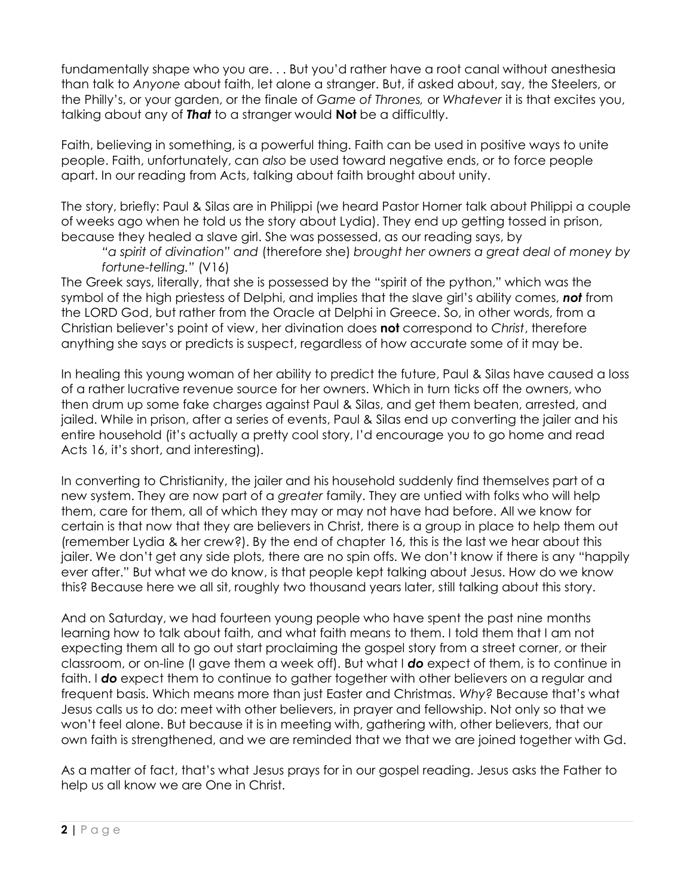fundamentally shape who you are. . . But you'd rather have a root canal without anesthesia than talk to *Anyone* about faith, let alone a stranger. But, if asked about, say, the Steelers, or the Philly's, or your garden, or the finale of *Game of Thrones,* or *Whatever* it is that excites you, talking about any of *That* to a stranger would **Not** be a difficultly.

Faith, believing in something, is a powerful thing. Faith can be used in positive ways to unite people. Faith, unfortunately, can *also* be used toward negative ends, or to force people apart. In our reading from Acts, talking about faith brought about unity.

The story, briefly: Paul & Silas are in Philippi (we heard Pastor Horner talk about Philippi a couple of weeks ago when he told us the story about Lydia). They end up getting tossed in prison, because they healed a slave girl. She was possessed, as our reading says, by

*"a spirit of divination" and* (therefore she) *brought her owners a great deal of money by fortune-telling."* (V16)

The Greek says, literally, that she is possessed by the "spirit of the python," which was the symbol of the high priestess of Delphi, and implies that the slave girl's ability comes, *not* from the LORD God, but rather from the Oracle at Delphi in Greece. So, in other words, from a Christian believer's point of view, her divination does **not** correspond to *Christ*, therefore anything she says or predicts is suspect, regardless of how accurate some of it may be.

In healing this young woman of her ability to predict the future, Paul & Silas have caused a loss of a rather lucrative revenue source for her owners. Which in turn ticks off the owners, who then drum up some fake charges against Paul & Silas, and get them beaten, arrested, and jailed. While in prison, after a series of events, Paul & Silas end up converting the jailer and his entire household (it's actually a pretty cool story, I'd encourage you to go home and read Acts 16, it's short, and interesting).

In converting to Christianity, the jailer and his household suddenly find themselves part of a new system. They are now part of a *greater* family. They are untied with folks who will help them, care for them, all of which they may or may not have had before. All we know for certain is that now that they are believers in Christ, there is a group in place to help them out (remember Lydia & her crew?). By the end of chapter 16, this is the last we hear about this jailer. We don't get any side plots, there are no spin offs. We don't know if there is any "happily ever after." But what we do know, is that people kept talking about Jesus. How do we know this? Because here we all sit, roughly two thousand years later, still talking about this story.

And on Saturday, we had fourteen young people who have spent the past nine months learning how to talk about faith, and what faith means to them. I told them that I am not expecting them all to go out start proclaiming the gospel story from a street corner, or their classroom, or on-line (I gave them a week off). But what I *do* expect of them, is to continue in faith. I **do** expect them to continue to gather together with other believers on a regular and frequent basis. Which means more than just Easter and Christmas. *Why?* Because that's what Jesus calls us to do: meet with other believers, in prayer and fellowship. Not only so that we won't feel alone. But because it is in meeting with, gathering with, other believers, that our own faith is strengthened, and we are reminded that we that we are joined together with Gd.

As a matter of fact, that's what Jesus prays for in our gospel reading. Jesus asks the Father to help us all know we are One in Christ.